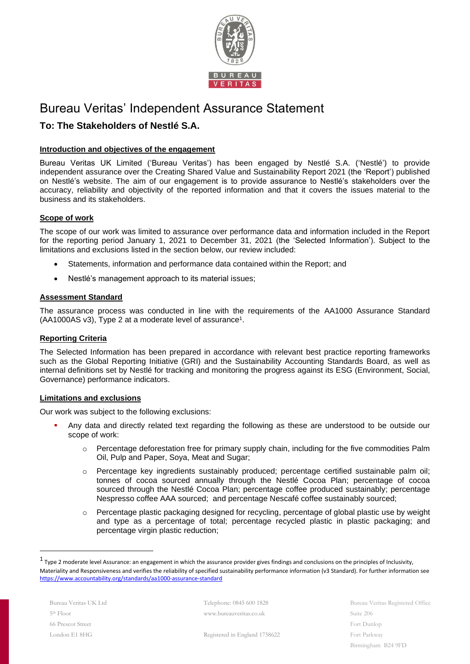

# Bureau Veritas' Independent Assurance Statement

## **To: The Stakeholders of Nestlé S.A.**

## **Introduction and objectives of the engagement**

Bureau Veritas UK Limited ('Bureau Veritas') has been engaged by Nestlé S.A. ('Nestlé') to provide independent assurance over the Creating Shared Value and Sustainability Report 2021 (the 'Report') published on Nestlé's website. The aim of our engagement is to provide assurance to Nestlé's stakeholders over the accuracy, reliability and objectivity of the reported information and that it covers the issues material to the business and its stakeholders.

## **Scope of work**

The scope of our work was limited to assurance over performance data and information included in the Report for the reporting period January 1, 2021 to December 31, 2021 (the 'Selected Information'). Subject to the limitations and exclusions listed in the section below, our review included:

- Statements, information and performance data contained within the Report; and
- Nestlé's management approach to its material issues;

## **Assessment Standard**

The assurance process was conducted in line with the requirements of the AA1000 Assurance Standard (AA1000AS v3), Type 2 at a moderate level of assurance<sup>1</sup> .

## **Reporting Criteria**

The Selected Information has been prepared in accordance with relevant best practice reporting frameworks such as the Global Reporting Initiative (GRI) and the Sustainability Accounting Standards Board, as well as internal definitions set by Nestlé for tracking and monitoring the progress against its ESG (Environment, Social, Governance) performance indicators.

## **Limitations and exclusions**

Our work was subject to the following exclusions:

- Any data and directly related text regarding the following as these are understood to be outside our scope of work:
	- o Percentage deforestation free for primary supply chain, including for the five commodities Palm Oil, Pulp and Paper, Soya, Meat and Sugar;
	- o Percentage key ingredients sustainably produced; percentage certified sustainable palm oil; tonnes of cocoa sourced annually through the Nestlé Cocoa Plan; percentage of cocoa sourced through the Nestlé Cocoa Plan; percentage coffee produced sustainably; percentage Nespresso coffee AAA sourced; and percentage Nescafé coffee sustainably sourced;
	- o Percentage plastic packaging designed for recycling, percentage of global plastic use by weight and type as a percentage of total; percentage recycled plastic in plastic packaging; and percentage virgin plastic reduction;

Telephone: 0845 600 1828 www.bureauveritas.co.uk

Bureau Veritas Registered Office Suite 206 Fort Dunlop Fort Parkway Birmingham B24 9FD

Registered in England 1758622

 $^1$  Type 2 moderate level Assurance: an engagement in which the assurance provider gives findings and conclusions on the principles of Inclusivity, Materiality and Responsiveness and verifies the reliability of specified sustainability performance information (v3 Standard). For further information see <https://www.accountability.org/standards/aa1000-assurance-standard>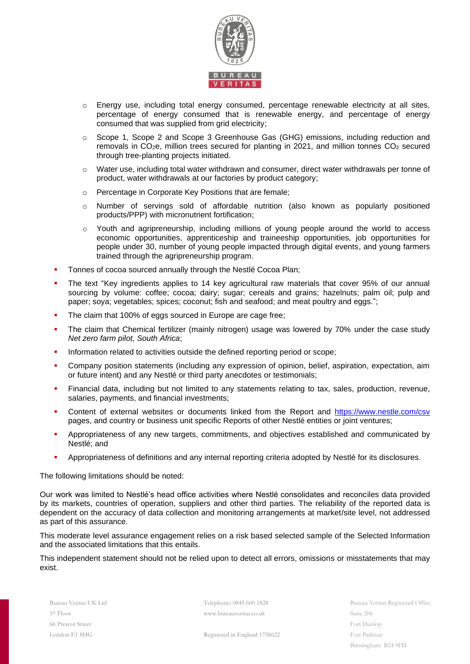

- o Energy use, including total energy consumed, percentage renewable electricity at all sites, percentage of energy consumed that is renewable energy, and percentage of energy consumed that was supplied from grid electricity;
- o Scope 1, Scope 2 and Scope 3 Greenhouse Gas (GHG) emissions, including reduction and removals in  $CO<sub>2</sub>e$ , million trees secured for planting in 2021, and million tonnes  $CO<sub>2</sub>$  secured through tree-planting projects initiated.
- o Water use, including total water withdrawn and consumer, direct water withdrawals per tonne of product, water withdrawals at our factories by product category;
- o Percentage in Corporate Key Positions that are female;
- o Number of servings sold of affordable nutrition (also known as popularly positioned products/PPP) with micronutrient fortification;
- o Youth and agripreneurship, including millions of young people around the world to access economic opportunities, apprenticeship and traineeship opportunities, job opportunities for people under 30, number of young people impacted through digital events, and young farmers trained through the agripreneurship program.
- Tonnes of cocoa sourced annually through the Nestlé Cocoa Plan;
- The text "Key ingredients applies to 14 key agricultural raw materials that cover 95% of our annual sourcing by volume: coffee; cocoa; dairy; sugar; cereals and grains; hazelnuts; palm oil; pulp and paper; soya; vegetables; spices; coconut; fish and seafood; and meat poultry and eggs.";
- The claim that 100% of eggs sourced in Europe are cage free;
- The claim that Chemical fertilizer (mainly nitrogen) usage was lowered by 70% under the case study *Net zero farm pilot, South Africa*;
- Information related to activities outside the defined reporting period or scope;
- Company position statements (including any expression of opinion, belief, aspiration, expectation, aim or future intent) and any Nestlé or third party anecdotes or testimonials;
- Financial data, including but not limited to any statements relating to tax, sales, production, revenue, salaries, payments, and financial investments;
- Content of external websites or documents linked from the Report and <https://www.nestle.com/csv> pages, and country or business unit specific Reports of other Nestlé entities or joint ventures;
- Appropriateness of any new targets, commitments, and objectives established and communicated by Nestlé; and
- Appropriateness of definitions and any internal reporting criteria adopted by Nestlé for its disclosures.

The following limitations should be noted:

Our work was limited to Nestlé's head office activities where Nestlé consolidates and reconciles data provided by its markets, countries of operation, suppliers and other third parties. The reliability of the reported data is dependent on the accuracy of data collection and monitoring arrangements at market/site level, not addressed as part of this assurance.

This moderate level assurance engagement relies on a risk based selected sample of the Selected Information and the associated limitations that this entails.

This independent statement should not be relied upon to detect all errors, omissions or misstatements that may exist.

Telephone: 0845 600 1828 www.bureauveritas.co.uk

Bureau Veritas Registered Office Suite 206 Fort Dunlop Fort Parkway Birmingham B24 9FD

Registered in England 1758622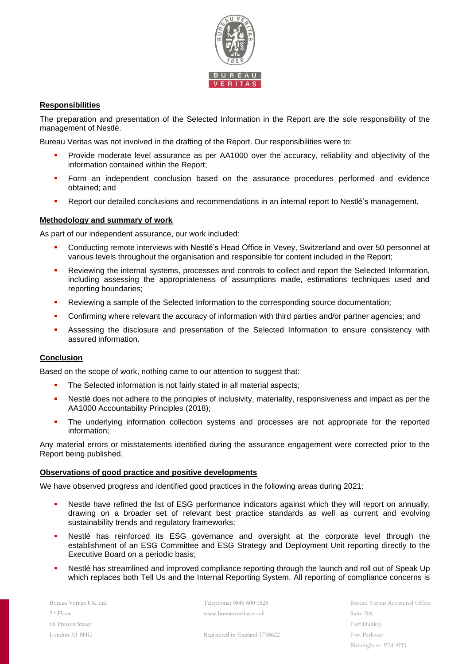

## **Responsibilities**

The preparation and presentation of the Selected Information in the Report are the sole responsibility of the management of Nestlé.

Bureau Veritas was not involved in the drafting of the Report. Our responsibilities were to:

- Provide moderate level assurance as per AA1000 over the accuracy, reliability and objectivity of the information contained within the Report;
- **•** Form an independent conclusion based on the assurance procedures performed and evidence obtained; and
- Report our detailed conclusions and recommendations in an internal report to Nestlé's management.

### **Methodology and summary of work**

As part of our independent assurance, our work included:

- Conducting remote interviews with Nestlé's Head Office in Vevey, Switzerland and over 50 personnel at various levels throughout the organisation and responsible for content included in the Report;
- Reviewing the internal systems, processes and controls to collect and report the Selected Information, including assessing the appropriateness of assumptions made, estimations techniques used and reporting boundaries;
- Reviewing a sample of the Selected Information to the corresponding source documentation;
- Confirming where relevant the accuracy of information with third parties and/or partner agencies; and
- Assessing the disclosure and presentation of the Selected Information to ensure consistency with assured information.

#### **Conclusion**

Based on the scope of work, nothing came to our attention to suggest that:

- The Selected information is not fairly stated in all material aspects;
- Nestlé does not adhere to the principles of inclusivity, materiality, responsiveness and impact as per the AA1000 Accountability Principles (2018);
- **•** The underlying information collection systems and processes are not appropriate for the reported information;

Any material errors or misstatements identified during the assurance engagement were corrected prior to the Report being published.

#### **Observations of good practice and positive developments**

We have observed progress and identified good practices in the following areas during 2021:

- Nestle have refined the list of ESG performance indicators against which they will report on annually, drawing on a broader set of relevant best practice standards as well as current and evolving sustainability trends and regulatory frameworks;
- Nestlé has reinforced its ESG governance and oversight at the corporate level through the establishment of an ESG Committee and ESG Strategy and Deployment Unit reporting directly to the Executive Board on a periodic basis;
- Nestlé has streamlined and improved compliance reporting through the launch and roll out of Speak Up which replaces both Tell Us and the Internal Reporting System. All reporting of compliance concerns is

Bureau Veritas UK Ltd 5 th Floor 66 Prescot Street London E1 8HG

Telephone: 0845 600 1828 www.bureauveritas.co.uk

Registered in England 1758622

Bureau Veritas Registered Office Suite 206 Fort Dunlop Fort Parkway Birmingham B24 9FD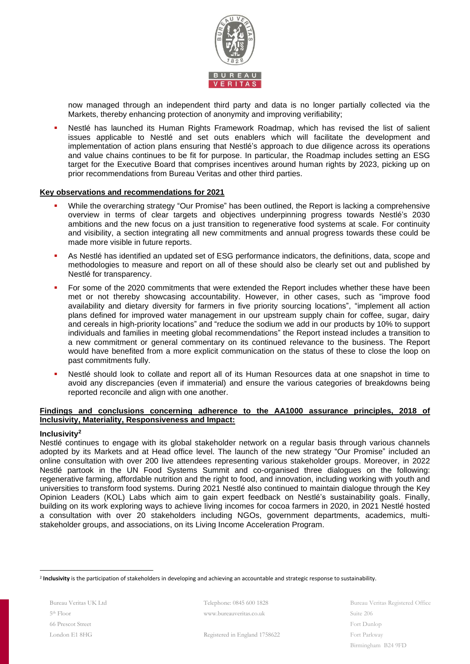

now managed through an independent third party and data is no longer partially collected via the Markets, thereby enhancing protection of anonymity and improving verifiability;

Nestlé has launched its Human Rights Framework Roadmap, which has revised the list of salient issues applicable to Nestlé and set outs enablers which will facilitate the development and implementation of action plans ensuring that Nestlé's approach to due diligence across its operations and value chains continues to be fit for purpose. In particular, the Roadmap includes setting an ESG target for the Executive Board that comprises incentives around human rights by 2023, picking up on prior recommendations from Bureau Veritas and other third parties.

#### **Key observations and recommendations for 2021**

- While the overarching strategy "Our Promise" has been outlined, the Report is lacking a comprehensive overview in terms of clear targets and objectives underpinning progress towards Nestlé's 2030 ambitions and the new focus on a just transition to regenerative food systems at scale. For continuity and visibility, a section integrating all new commitments and annual progress towards these could be made more visible in future reports.
- As Nestlé has identified an updated set of ESG performance indicators, the definitions, data, scope and methodologies to measure and report on all of these should also be clearly set out and published by Nestlé for transparency.
- For some of the 2020 commitments that were extended the Report includes whether these have been met or not thereby showcasing accountability. However, in other cases, such as "improve food availability and dietary diversity for farmers in five priority sourcing locations", "implement all action plans defined for improved water management in our upstream supply chain for coffee, sugar, dairy and cereals in high-priority locations" and "reduce the sodium we add in our products by 10% to support individuals and families in meeting global recommendations" the Report instead includes a transition to a new commitment or general commentary on its continued relevance to the business. The Report would have benefited from a more explicit communication on the status of these to close the loop on past commitments fully.
- Nestlé should look to collate and report all of its Human Resources data at one snapshot in time to avoid any discrepancies (even if immaterial) and ensure the various categories of breakdowns being reported reconcile and align with one another.

## **Findings and conclusions concerning adherence to the AA1000 assurance principles, 2018 of Inclusivity, Materiality, Responsiveness and Impact:**

#### **Inclusivity<sup>2</sup>**

Nestlé continues to engage with its global stakeholder network on a regular basis through various channels adopted by its Markets and at Head office level. The launch of the new strategy "Our Promise" included an online consultation with over 200 live attendees representing various stakeholder groups. Moreover, in 2022 Nestlé partook in the UN Food Systems Summit and co-organised three dialogues on the following: regenerative farming, affordable nutrition and the right to food, and innovation, including working with youth and universities to transform food systems. During 2021 Nestlé also continued to maintain dialogue through the Key Opinion Leaders (KOL) Labs which aim to gain expert feedback on Nestlé's sustainability goals. Finally, building on its work exploring ways to achieve living incomes for cocoa farmers in 2020, in 2021 Nestlé hosted a consultation with over 20 stakeholders including NGOs, government departments, academics, multistakeholder groups, and associations, on its Living Income Acceleration Program.

Telephone: 0845 600 1828 www.bureauveritas.co.uk

Registered in England 1758622

Bureau Veritas Registered Office Suite 206 Fort Dunlop Fort Parkway Birmingham B24 9FD

<sup>2</sup> **Inclusivity** is the participation of stakeholders in developing and achieving an accountable and strategic response to sustainability.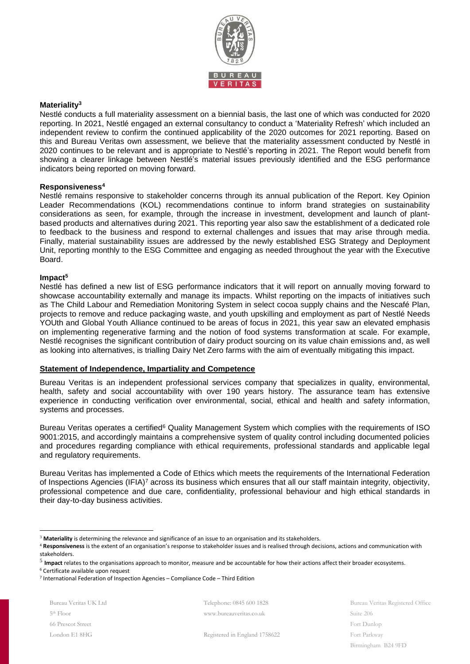

#### **Materiality<sup>3</sup>**

Nestlé conducts a full materiality assessment on a biennial basis, the last one of which was conducted for 2020 reporting. In 2021, Nestlé engaged an external consultancy to conduct a 'Materiality Refresh' which included an independent review to confirm the continued applicability of the 2020 outcomes for 2021 reporting. Based on this and Bureau Veritas own assessment, we believe that the materiality assessment conducted by Nestlé in 2020 continues to be relevant and is appropriate to Nestlé's reporting in 2021. The Report would benefit from showing a clearer linkage between Nestlé's material issues previously identified and the ESG performance indicators being reported on moving forward.

#### **Responsiveness<sup>4</sup>**

Nestlé remains responsive to stakeholder concerns through its annual publication of the Report. Key Opinion Leader Recommendations (KOL) recommendations continue to inform brand strategies on sustainability considerations as seen, for example, through the increase in investment, development and launch of plantbased products and alternatives during 2021. This reporting year also saw the establishment of a dedicated role to feedback to the business and respond to external challenges and issues that may arise through media. Finally, material sustainability issues are addressed by the newly established ESG Strategy and Deployment Unit, reporting monthly to the ESG Committee and engaging as needed throughout the year with the Executive Board.

#### **Impact<sup>5</sup>**

Nestlé has defined a new list of ESG performance indicators that it will report on annually moving forward to showcase accountability externally and manage its impacts. Whilst reporting on the impacts of initiatives such as The Child Labour and Remediation Monitoring System in select cocoa supply chains and the Nescafé Plan, projects to remove and reduce packaging waste, and youth upskilling and employment as part of Nestlé Needs YOUth and Global Youth Alliance continued to be areas of focus in 2021, this year saw an elevated emphasis on implementing regenerative farming and the notion of food systems transformation at scale. For example, Nestlé recognises the significant contribution of dairy product sourcing on its value chain emissions and, as well as looking into alternatives, is trialling Dairy Net Zero farms with the aim of eventually mitigating this impact.

## **Statement of Independence, Impartiality and Competence**

Bureau Veritas is an independent professional services company that specializes in quality, environmental, health, safety and social accountability with over 190 years history. The assurance team has extensive experience in conducting verification over environmental, social, ethical and health and safety information, systems and processes.

Bureau Veritas operates a certified<sup>6</sup> Quality Management System which complies with the requirements of ISO 9001:2015, and accordingly maintains a comprehensive system of quality control including documented policies and procedures regarding compliance with ethical requirements, professional standards and applicable legal and regulatory requirements.

Bureau Veritas has implemented a Code of Ethics which meets the requirements of the International Federation of Inspections Agencies (IFIA)<sup>7</sup> across its business which ensures that all our staff maintain integrity, objectivity, professional competence and due care, confidentiality, professional behaviour and high ethical standards in their day-to-day business activities.

Bureau Veritas UK Ltd 5 th Floor 66 Prescot Street London E1 8HG

Telephone: 0845 600 1828 www.bureauveritas.co.uk

Bureau Veritas Registered Office Suite 206 Fort Dunlop Fort Parkway Birmingham B24 9FD

Registered in England 1758622

<sup>3</sup> **Materiality** is determining the relevance and significance of an issue to an organisation and its stakeholders.

<sup>4</sup> **Responsiveness** is the extent of an organisation's response to stakeholder issues and is realised through decisions, actions and communication with stakeholders.

<sup>&</sup>lt;sup>5</sup> Impact relates to the organisations approach to monitor, measure and be accountable for how their actions affect their broader ecosystems.

<sup>6</sup> Certificate available upon request

<sup>7</sup> International Federation of Inspection Agencies – Compliance Code – Third Edition